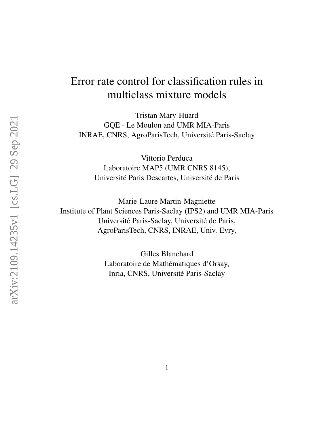# Error rate control for classification rules in multiclass mixture models

Tristan Mary-Huard GQE - Le Moulon and UMR MIA-Paris INRAE, CNRS, AgroParisTech, Universite Paris-Saclay ´

Vittorio Perduca Laboratoire MAP5 (UMR CNRS 8145), Université Paris Descartes, Université de Paris

Marie-Laure Martin-Magniette Institute of Plant Sciences Paris-Saclay (IPS2) and UMR MIA-Paris Université Paris-Saclay, Université de Paris, AgroParisTech, CNRS, INRAE, Univ. Evry,

> Gilles Blanchard Laboratoire de Mathématiques d'Orsay, Inria, CNRS, Universite Paris-Saclay ´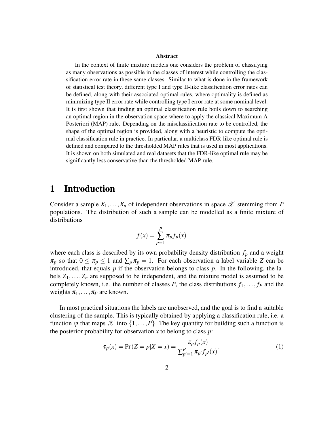#### Abstract

In the context of finite mixture models one considers the problem of classifying as many observations as possible in the classes of interest while controlling the classification error rate in these same classes. Similar to what is done in the framework of statistical test theory, different type I and type II-like classification error rates can be defined, along with their associated optimal rules, where optimality is defined as minimizing type II error rate while controlling type I error rate at some nominal level. It is first shown that finding an optimal classification rule boils down to searching an optimal region in the observation space where to apply the classical Maximum A Posteriori (MAP) rule. Depending on the misclassification rate to be controlled, the shape of the optimal region is provided, along with a heuristic to compute the optimal classification rule in practice. In particular, a multiclass FDR-like optimal rule is defined and compared to the thresholded MAP rules that is used in most applications. It is shown on both simulated and real datasets that the FDR-like optimal rule may be significantly less conservative than the thresholded MAP rule.

### 1 Introduction

Consider a sample  $X_1, \ldots, X_n$  of independent observations in space  $\mathscr X$  stemming from P populations. The distribution of such a sample can be modelled as a finite mixture of distributions

$$
f(x) = \sum_{p=1}^{P} \pi_p f_p(x)
$$

where each class is described by its own probability density distribution  $f_p$  and a weight  $\pi_p$  so that  $0 \le \pi_p \le 1$  and  $\sum_p \pi_p = 1$ . For each observation a label variable *Z* can be introduced, that equals *p* if the observation belongs to class *p*. In the following, the labels  $Z_1, \ldots, Z_n$  are supposed to be independent, and the mixture model is assumed to be completely known, i.e. the number of classes *P*, the class distributions  $f_1, \ldots, f_p$  and the weights  $\pi_1, \ldots, \pi_P$  are known.

In most practical situations the labels are unobserved, and the goal is to find a suitable clustering of the sample. This is typically obtained by applying a classification rule, i.e. a function  $\psi$  that maps  $\mathscr X$  into  $\{1,\ldots,P\}$ . The key quantity for building such a function is the posterior probability for observation *x* to belong to class *p*:

$$
\tau_p(x) = \Pr(Z = p | X = x) = \frac{\pi_p f_p(x)}{\sum_{p'=1}^P \pi_{p'} f_{p'}(x)}.
$$
\n(1)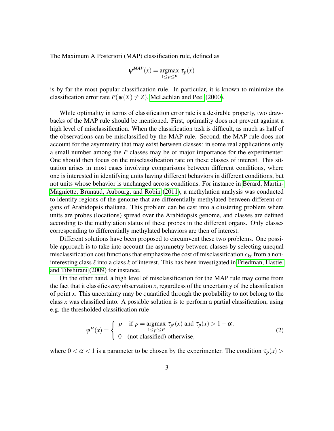The Maximum A Posteriori (MAP) classification rule, defined as

$$
\psi^{MAP}(x) = \underset{1 \le p \le P}{\text{argmax}} \ \tau_p(x)
$$

is by far the most popular classification rule. In particular, it is known to minimize the classification error rate  $P(\psi(X) \neq Z)$ , [McLachlan and Peel](#page-23-0) [\(2000\)](#page-23-0).

While optimality in terms of classification error rate is a desirable property, two drawbacks of the MAP rule should be mentioned. First, optimality does not prevent against a high level of misclassification. When the classification task is difficult, as much as half of the observations can be misclassified by the MAP rule. Second, the MAP rule does not account for the asymmetry that may exist between classes: in some real applications only a small number among the *P* classes may be of major importance for the experimenter. One should then focus on the misclassification rate on these classes of interest. This situation arises in most cases involving comparisons between different conditions, where one is interested in identifying units having different behaviors in different conditions, but not units whose behavior is unchanged across conditions. For instance in Bérard, Martin-[Magniette, Brunaud, Aubourg, and Robin](#page-22-0) [\(2011\)](#page-22-0), a methylation analysis was conducted to identify regions of the genome that are differentially methylated between different organs of Arabidopsis thaliana. This problem can be cast into a clustering problem where units are probes (locations) spread over the Arabidopsis genome, and classes are defined according to the methylation status of these probes in the different organs. Only classes corresponding to differentially methylated behaviors are then of interest.

Different solutions have been proposed to circumvent these two problems. One possible approach is to take into account the asymmetry between classes by selecting unequal misclassification cost functions that emphasize the cost of misclassification  $c_{k\ell}$  from a noninteresting class  $\ell$  into a class  $k$  of interest. This has been investigated in [Friedman, Hastie,](#page-23-1) [and Tibshirani](#page-23-1) [\(2009\)](#page-23-1) for instance.

On the other hand, a high level of misclassification for the MAP rule may come from the fact that it classifies *any* observation *x*, regardless of the uncertainty of the classification of point *x*. This uncertainty may be quantified through the probability to not belong to the class *x* was classified into. A possible solution is to perform a partial classification, using e.g. the thresholded classification rule

<span id="page-2-0"></span>
$$
\psi^{\alpha}(x) = \begin{cases} p & \text{if } p = \operatorname{argmax}_{1 \le p' \le P} \tau_{p'}(x) \text{ and } \tau_p(x) > 1 - \alpha, \\ 0 & \text{(not classified) otherwise,} \end{cases}
$$
 (2)

where  $0 < \alpha < 1$  is a parameter to be chosen by the experimenter. The condition  $\tau_p(x)$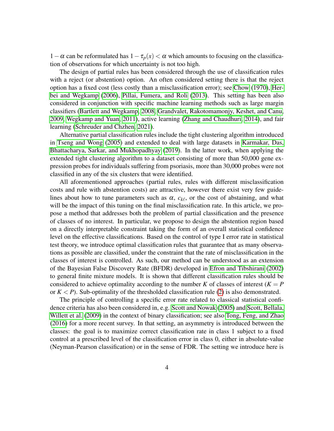1−α can be reformulated has  $1 - τ<sub>p</sub>(x) < α$  which amounts to focusing on the classification of observations for which uncertainty is not too high.

The design of partial rules has been considered through the use of classification rules with a reject (or abstention) option. An often considered setting there is that the reject option has a fixed cost (less costly than a misclassification error); see [Chow](#page-22-1) [\(1970\)](#page-22-1), [Her](#page-23-2)[bei and Wegkamp](#page-23-2) [\(2006\)](#page-23-2), [Pillai, Fumera, and Roli](#page-23-3) [\(2013\)](#page-23-3). This setting has been also considered in conjunction with specific machine learning methods such as large margin classifiers [\(Bartlett and Wegkamp, 2008,](#page-22-2) [Grandvalet, Rakotomamonjy, Keshet, and Canu,](#page-23-4) [2009,](#page-23-4) [Wegkamp and Yuan, 2011\)](#page-24-0), active learning [\(Zhang and Chaudhuri, 2014\)](#page-24-1), and fair learning [\(Schreuder and Chzhen, 2021\)](#page-23-5).

Alternative partial classification rules include the tight clustering algorithm introduced in [Tseng and Wong](#page-24-2) [\(2005\)](#page-24-2) and extended to deal with large datasets in [Karmakar, Das,](#page-23-6) [Bhattacharya, Sarkar, and Mukhopadhyay](#page-23-6) [\(2019\)](#page-23-6). In the latter work, when applying the extended tight clustering algorithm to a dataset consisting of more than 50,000 gene expression probes for individuals suffering from psoriasis, more than 30,000 probes were not classified in any of the six clusters that were identified.

All aforementioned approaches (partial rules, rules with different misclassification costs and rule with abstention costs) are attractive, however there exist very few guidelines about how to tune parameters such as  $\alpha$ ,  $c_{k\ell}$ , or the cost of abstaining, and what will be the impact of this tuning on the final misclassification rate. In this article, we propose a method that addresses both the problem of partial classification and the presence of classes of no interest. In particular, we propose to design the abstention region based on a directly interpretable constraint taking the form of an overall statistical confidence level on the effective classifications. Based on the control of type I error rate in statistical test theory, we introduce optimal classification rules that guarantee that as many observations as possible are classified, under the constraint that the rate of misclassification in the classes of interest is controlled. As such, our method can be understood as an extension of the Bayesian False Discovery Rate (BFDR) developed in [Efron and Tibshirani](#page-22-3) [\(2002\)](#page-22-3) to general finite mixture models. It is shown that different classification rules should be considered to achieve optimality according to the number *K* of classes of interest ( $K = P$ or  $K < P$ ). Sub-optimality of the thresholded classification rule [\(2\)](#page-2-0) is also demonstrated.

The principle of controlling a specific error rate related to classical statistical confidence criteria has also been considered in, e.g. [Scott and Nowak](#page-23-7) [\(2005\)](#page-23-7) and [Scott, Bellala,](#page-23-8) [Willett et al.](#page-23-8) [\(2009\)](#page-23-8) in the context of binary classification; see also [Tong, Feng, and Zhao](#page-24-3) [\(2016\)](#page-24-3) for a more recent survey. In that setting, an asymmetry is introduced between the classes: the goal is to maximize correct classification rate in class 1 subject to a fixed control at a prescribed level of the classification error in class 0, either in absolute-value (Neyman-Pearson classification) or in the sense of FDR. The setting we introduce here is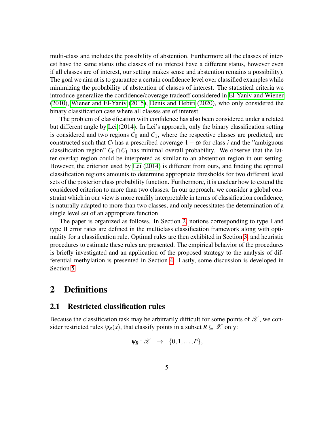multi-class and includes the possibility of abstention. Furthermore all the classes of interest have the same status (the classes of no interest have a different status, however even if all classes are of interest, our setting makes sense and abstention remains a possibility). The goal we aim at is to guarantee a certain confidence level over classified examples while minimizing the probability of abstention of classes of interest. The statistical criteria we introduce generalize the confidence/coverage tradeoff considered in [El-Yaniv and Wiener](#page-22-4) [\(2010\)](#page-22-4), [Wiener and El-Yaniv](#page-24-4) [\(2015\)](#page-24-4), [Denis and Hebiri](#page-22-5) [\(2020\)](#page-22-5), who only considered the binary classification case where all classes are of interest.

The problem of classification with confidence has also been considered under a related but different angle by [Lei](#page-23-9) [\(2014\)](#page-23-9). In Lei's approach, only the binary classification setting is considered and two regions  $C_0$  and  $C_1$ , where the respective classes are predicted, are constructed such that  $C_i$  has a prescribed coverage  $1 - \alpha_i$  for class *i* and the "ambiguous" classification region"  $C_0 \cap C_1$  has minimal overall probability. We observe that the latter overlap region could be interpreted as similar to an abstention region in our setting. However, the criterion used by [Lei](#page-23-9) [\(2014\)](#page-23-9) is different from ours, and finding the optimal classification regions amounts to determine appropriate thresholds for two different level sets of the posterior class probability function. Furthermore, it is unclear how to extend the considered criterion to more than two classes. In our approach, we consider a global constraint which in our view is more readily interpretable in terms of classification confidence, is naturally adapted to more than two classes, and only necessitates the determination of a single level set of an appropriate function.

The paper is organized as follows. In Section [2,](#page-4-0) notions corresponding to type I and type II error rates are defined in the multiclass classification framework along with optimality for a classification rule. Optimal rules are then exhibited in Section [3,](#page-7-0) and heuristic procedures to estimate these rules are presented. The empirical behavior of the procedures is briefly investigated and an application of the proposed strategy to the analysis of differential methylation is presented in Section [4.](#page-12-0) Lastly, some discussion is developed in Section [5.](#page-20-0)

## <span id="page-4-0"></span>2 Definitions

#### 2.1 Restricted classification rules

Because the classification task may be arbitrarily difficult for some points of  $\mathscr{X}$ , we consider restricted rules  $\psi_R(x)$ , that classify points in a subset  $R \subseteq \mathcal{X}$  only:

$$
\psi_R: \mathscr{X} \rightarrow \{0,1,\ldots,P\},\
$$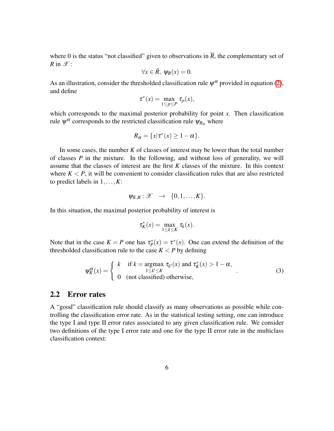where 0 is the status "not classified" given to observations in  $\overline{R}$ , the complementary set of *R* in  $\mathscr{X}$ :

$$
\forall x \in \bar{R}, \ \psi_R(x) = 0.
$$

As an illustration, consider the thresholded classification rule  $\psi^{\alpha}$  provided in equation [\(2\)](#page-2-0), and define

$$
\tau^*(x) = \max_{1 \le p \le P} \tau_p(x),
$$

which corresponds to the maximal posterior probability for point *x*. Then classification rule  $\psi^{\alpha}$  corresponds to the restricted classification rule  $\psi_{R_{\alpha}}$  where

$$
R_{\alpha} = \{x | \tau^*(x) \ge 1 - \alpha\}.
$$

In some cases, the number *K* of classes of interest may be lower than the total number of classes *P* in the mixture. In the following, and without loss of generality, we will assume that the classes of interest are the first *K* classes of the mixture. In this context where  $K \leq P$ , it will be convenient to consider classification rules that are also restricted to predict labels in 1,...,*K*:

$$
\psi_{K,R}: \mathscr{X} \rightarrow \{0,1,\ldots,K\}.
$$

In this situation, the maximal posterior probability of interest is

$$
\tau_K^*(x) = \max_{1 \le k \le K} \tau_k(x).
$$

Note that in the case  $K = P$  one has  $\tau_P^*(x) = \tau^*(x)$ . One can extend the definition of the thresholded classification rule to the case  $K < P$  by defining

<span id="page-5-0"></span>
$$
\psi_K^{\alpha}(x) = \begin{cases} k & \text{if } k = \operatorname*{argmax}_{1 \le k' \le K} \tau_{k'}(x) \text{ and } \tau_K^*(x) > 1 - \alpha, \\ 0 & \text{(not classified) otherwise,} \end{cases}
$$
(3)

#### 2.2 Error rates

A "good" classification rule should classify as many observations as possible while controlling the classification error rate. As in the statistical testing setting, one can introduce the type I and type II error rates associated to any given classification rule. We consider two definitions of the type I error rate and one for the type II error rate in the multiclass classification context: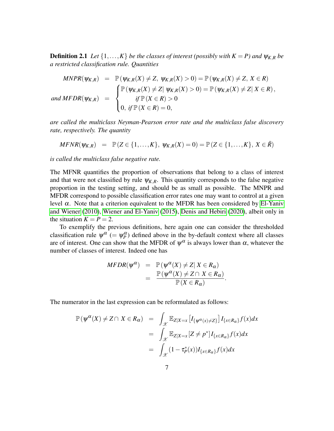**Definition 2.1** *Let*  $\{1,\ldots,K\}$  *be the classes of interest (possibly with*  $K = P$ *) and*  $\psi_{K,R}$  *be a restricted classification rule. Quantities*

$$
MNPR(\psi_{K,R}) = \mathbb{P}(\psi_{K,R}(X) \neq Z, \psi_{K,R}(X) > 0) = \mathbb{P}(\psi_{K,R}(X) \neq Z, X \in R)
$$
  
and 
$$
MFDR(\psi_{K,R}) = \begin{cases} \mathbb{P}(\psi_{K,R}(X) \neq Z | \psi_{K,R}(X) > 0) = \mathbb{P}(\psi_{K,R}(X) \neq Z | X \in R), \\ \text{if } \mathbb{P}(X \in R) > 0 \\ 0, \text{ if } \mathbb{P}(X \in R) = 0, \end{cases}
$$

*are called the multiclass Neyman-Pearson error rate and the multiclass false discovery rate, respectively. The quantity*

$$
MFNR(\psi_{K,R}) = \mathbb{P}(Z \in \{1,\ldots,K\}, \psi_{K,R}(X) = 0) = \mathbb{P}(Z \in \{1,\ldots,K\}, X \in \overline{R})
$$

*is called the multiclass false negative rate.*

The MFNR quantifies the proportion of observations that belong to a class of interest and that were not classified by rule  $\psi_{K,R}$ . This quantity corresponds to the false negative proportion in the testing setting, and should be as small as possible. The MNPR and MFDR correspond to possible classification error rates one may want to control at a given level  $α$ . Note that a criterion equivalent to the MFDR has been considered by [El-Yaniv](#page-22-4) [and Wiener](#page-22-4) [\(2010\)](#page-22-4), [Wiener and El-Yaniv](#page-24-4) [\(2015\)](#page-24-4), [Denis and Hebiri](#page-22-5) [\(2020\)](#page-22-5), albeit only in the situation  $K = P = 2$ .

To exemplify the previous definitions, here again one can consider the thresholded classification rule  $\psi^{\alpha}$  (=  $\psi^{\alpha}_p$ ) defined above in the by-default context where all classes are of interest. One can show that the MFDR of  $\psi^{\alpha}$  is always lower than  $\alpha$ , whatever the number of classes of interest. Indeed one has

$$
MFDR(\psi^{\alpha}) = \mathbb{P}(\psi^{\alpha}(X) \neq Z | X \in R_{\alpha})
$$
  
= 
$$
\frac{\mathbb{P}(\psi^{\alpha}(X) \neq Z \cap X \in R_{\alpha})}{\mathbb{P}(X \in R_{\alpha})}.
$$

The numerator in the last expression can be reformulated as follows:

$$
\mathbb{P}(\psi^{\alpha}(X) \neq Z \cap X \in R_{\alpha}) = \int_{\mathcal{X}} \mathbb{E}_{Z|X=x} [I_{\{\psi^{\alpha}(x) \neq Z\}}] I_{\{x \in R_{\alpha}\}} f(x) dx
$$

$$
= \int_{\mathcal{X}} \mathbb{E}_{Z|X=x} [Z \neq p^{*}] I_{\{x \in R_{\alpha}\}} f(x) dx
$$

$$
= \int_{\mathcal{X}} (1 - \tau_{P}^{*}(x)) I_{\{x \in R_{\alpha}\}} f(x) dx
$$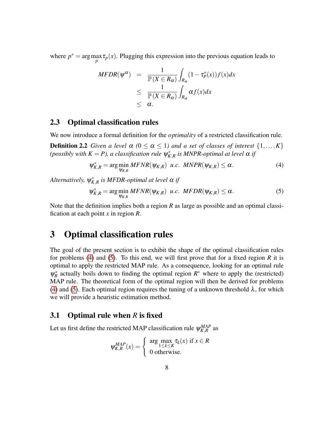where  $p^* = \arg \max_{p} \tau_p(x)$ . Plugging this expression into the previous equation leads to

$$
MFDR(\psi^{\alpha}) = \frac{1}{\mathbb{P}(X \in R_{\alpha})} \int_{R_{\alpha}} (1 - \tau^*_{P}(x)) f(x) dx
$$
  
\n
$$
\leq \frac{1}{\mathbb{P}(X \in R_{\alpha})} \int_{R_{\alpha}} \alpha f(x) dx
$$
  
\n
$$
\leq \alpha.
$$

#### 2.3 Optimal classification rules

We now introduce a formal definition for the *optimality* of a restricted classification rule.

**Definition 2.2** *Given a level*  $\alpha$  ( $0 \leq \alpha \leq 1$ ) *and a set of classes of interest*  $\{1, \ldots, K\}$ (possibly with  $K = P$ ), a classification rule  $\psi_{K,R}^*$  is MNPR-optimal at level  $\alpha$  if

<span id="page-7-1"></span>
$$
\psi_{K,R}^* = \arg\min_{\psi_{K,R}} \text{MFNR}(\psi_{K,R}) \ \ u.c. \ \ \text{MNPR}(\psi_{K,R}) \le \alpha. \tag{4}
$$

 $\Lambda$ lternatively,  $\psi_{K,R}^*$  is MFDR-optimal at level  $\alpha$  if

<span id="page-7-2"></span>
$$
\psi_{K,R}^* = \arg\min_{\psi_{K,R}} MFNR(\psi_{K,R}) \ \ u.c. \ \ MFDR(\psi_{K,R}) \le \alpha. \tag{5}
$$

Note that the definition implies both a region *R* as large as possible and an optimal classification at each point *x* in region *R*.

## <span id="page-7-0"></span>3 Optimal classification rules

The goal of the present section is to exhibit the shape of the optimal classification rules for problems [\(4\)](#page-7-1) and [\(5\)](#page-7-2). To this end, we will first prove that for a fixed region *R* it is optimal to apply the restricted MAP rule. As a consequence, looking for an optimal rule  $\psi_R^*$  actually boils down to finding the optimal region  $R^*$  where to apply the (restricted) MAP rule. The theoretical form of the optimal region will then be derived for problems [\(4\)](#page-7-1) and [\(5\)](#page-7-2). Each optimal region requires the tuning of a unknown threshold  $\lambda$ , for which we will provide a heuristic estimation method.

#### 3.1 Optimal rule when *R* is fixed

Let us first define the restricted MAP classification rule  $\psi_{K,R}^{MAP}$  as

$$
\psi_{K,R}^{MAP}(x) = \begin{cases} \arg \max_{1 \le k \le K} \tau_k(x) & \text{if } x \in R \\ 0 & \text{otherwise.} \end{cases}
$$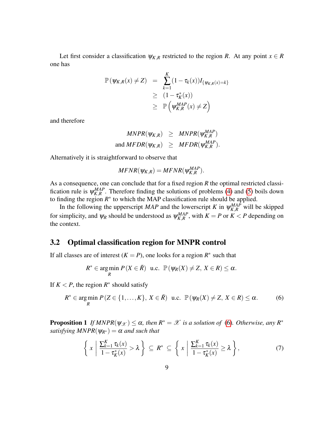Let first consider a classification  $\psi_{K,R}$  restricted to the region *R*. At any point  $x \in R$ one has

$$
\mathbb{P}(\psi_{K,R}(x) \neq Z) = \sum_{k=1}^{K} (1 - \tau_k(x)) I_{\{\psi_{K,R}(x) = k\}}
$$
  
\n
$$
\geq (1 - \tau_K^*(x))
$$
  
\n
$$
\geq \mathbb{P}(\psi_{K,R}^{MAP}(x) \neq Z)
$$

and therefore

$$
MNPR(\psi_{K,R}) \geq MNPR(\psi_{K,R}^{MAP})
$$
  
and 
$$
MFDR(\psi_{K,R}) \geq MFDR(\psi_{K,R}^{MAP}).
$$

Alternatively it is straightforward to observe that

$$
MFNR(\psi_{K,R}) = MFNR(\psi_{K,R}^{MAP}).
$$

As a consequence, one can conclude that for a fixed region *R* the optimal restricted classification rule is  $\psi_{K,R}^{MAP}$ . Therefore finding the solutions of problems [\(4\)](#page-7-1) and [\(5\)](#page-7-2) boils down to finding the region  $R^*$  to which the MAP classification rule should be applied.

In the following the upperscript *MAP* and the lowerscript *K* in  $\psi_{K,R}^{MAP}$  will be skipped for simplicity, and  $\psi_R$  should be understood as  $\psi_{K,R}^{MAP}$ , with  $K = P$  or  $K < P$  depending on the context.

#### <span id="page-8-2"></span>3.2 Optimal classification region for MNPR control

If all classes are of interest  $(K = P)$ , one looks for a region  $R^*$  such that

$$
R^* \in \underset{R}{\text{arg min }} P(X \in \overline{R}) \ \ \text{u.c. } \ \mathbb{P}(\psi_R(X) \neq Z, \ X \in R) \leq \alpha.
$$

If  $K < P$ , the region  $R^*$  should satisfy

<span id="page-8-0"></span>
$$
R^* \in \underset{R}{\text{arg min}} \ P(Z \in \{1, \ldots, K\}, \ X \in \bar{R}) \ \ \text{u.c.} \ \ \mathbb{P}(\psi_R(X) \neq Z, \ X \in R) \leq \alpha. \tag{6}
$$

<span id="page-8-3"></span>**Proposition 1** *If MNPR*( $\psi_{\mathcal{X}}$ )  $\leq \alpha$ , then  $R^* = \mathcal{X}$  is a solution of [\(6\)](#page-8-0). Otherwise, any  $R^*$ *satisfying MNPR*( $\psi_{R^*}$ ) =  $\alpha$  *and such that* 

<span id="page-8-1"></span>
$$
\left\{ x \mid \frac{\sum_{k=1}^{K} \tau_k(x)}{1 - \tau_k^*(x)} > \lambda \right\} \subseteq R^* \subseteq \left\{ x \mid \frac{\sum_{k=1}^{K} \tau_k(x)}{1 - \tau_k^*(x)} \ge \lambda \right\},\tag{7}
$$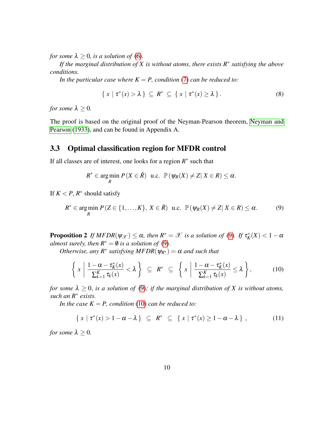*for some*  $\lambda \geq 0$ *, is a solution of* [\(6\)](#page-8-0).

*If the marginal distribution of X is without atoms, there exists R*<sup>∗</sup> *satisfying the above conditions.*

*In the particular case where*  $K = P$ , *condition* [\(7\)](#page-8-1) *can be reduced to:* 

<span id="page-9-3"></span>
$$
\{ x \mid \tau^*(x) > \lambda \} \subseteq R^* \subseteq \{ x \mid \tau^*(x) \ge \lambda \}.
$$
 (8)

*for some*  $\lambda \geq 0$ *.* 

The proof is based on the original proof of the Neyman-Pearson theorem, [Neyman and](#page-23-10) [Pearson](#page-23-10) [\(1933\)](#page-23-10), and can be found in Appendix A.

### <span id="page-9-4"></span>3.3 Optimal classification region for MFDR control

If all classes are of interest, one looks for a region  $R^*$  such that

$$
R^* \in \underset{R}{\text{arg min }} P(X \in \overline{R}) \ \ \text{u.c. } \mathbb{P}(\psi_R(X) \neq Z | X \in R) \leq \alpha.
$$

If  $K < P$ ,  $R^*$  should satisfy

<span id="page-9-0"></span>
$$
R^* \in \underset{R}{\text{arg min }} P(Z \in \{1, \ldots, K\}, X \in \overline{R}) \text{ u.c. } \mathbb{P}(\psi_R(X) \neq Z | X \in R) \leq \alpha. \tag{9}
$$

<span id="page-9-2"></span>**Proposition 2** If  $MFDR(\psi_{\mathcal{X}}) \leq \alpha$ , then  $R^* = \mathcal{X}$  is a solution of [\(9\)](#page-9-0). If  $\tau_K^*(X) < 1-\alpha$ *almost surely, then*  $R^* = \emptyset$  *is a solution of* [\(9\)](#page-9-0).

*Otherwise, any*  $R^*$  *satisfying MFDR*( $\psi_{R^*}$ ) =  $\alpha$  *and such that* 

<span id="page-9-1"></span>
$$
\left\{ x \mid \frac{1-\alpha-\tau_K^*(x)}{\sum_{k=1}^K \tau_k(x)} < \lambda \right\} \subseteq R^* \subseteq \left\{ x \mid \frac{1-\alpha-\tau_K^*(x)}{\sum_{k=1}^K \tau_k(x)} \leq \lambda \right\},\tag{10}
$$

*for some*  $\lambda \geq 0$ , *is a solution of* [\(9\)](#page-9-0); *if the marginal distribution of* X *is without atoms*, *such an R*<sup>∗</sup> *exists.*

*In the case*  $K = P$ *, condition* [\(10\)](#page-9-1) *can be reduced to:* 

$$
\{ x \mid \tau^*(x) > 1 - \alpha - \lambda \} \subseteq R^* \subseteq \{ x \mid \tau^*(x) \ge 1 - \alpha - \lambda \}, \tag{11}
$$

*for some*  $\lambda \geq 0$ *.*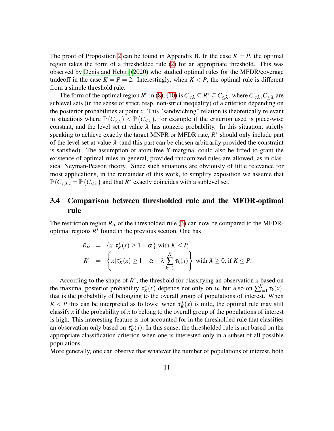The proof of Proposition [2](#page-9-2) can be found in Appendix B. In the case  $K = P$ , the optimal region takes the form of a thresholded rule [\(2\)](#page-2-0) for an appropriate threshold. This was observed by [Denis and Hebiri](#page-22-5) [\(2020\)](#page-22-5) who studied optimal rules for the MFDR/coverage tradeoff in the case  $K = P = 2$ . Interestingly, when  $K < P$ , the optimal rule is different from a simple threshold rule.

The form of the optimal region  $R^*$  in [\(8\)](#page-9-3), [\(10\)](#page-9-1) is  $C_{\lt A} \subseteq R^* \subseteq C_{\leq \lambda}$ , where  $C_{\lt A}, C_{\leq \lambda}$  are sublevel sets (in the sense of strict, resp. non-strict inequality) of a criterion depending on the posterior probabilities at point *x*. This "sandwiching" relation is theoretically relevant in situations where  $\mathbb{P}(C_{\leq \lambda}) < \mathbb{P}(C_{\leq \lambda})$ , for example if the criterion used is piece-wise constant, and the level set at value  $\lambda$  has nonzero probability. In this situation, strictly speaking to achieve exactly the target MNPR or MFDR rate,  $R^*$  should only include part of the level set at value  $\lambda$  (and this part can be chosen arbitrarily provided the constraint is satisfied). The assumption of atom-free *X*-marginal could also be lifted to grant the existence of optimal rules in general, provided randomized rules are allowed, as in classical Neyman-Peason theory. Since such situations are obviously of little relevance for most applications, in the remainder of this work, to simplify exposition we assume that  $\mathbb{P}(C_{< \lambda}) = \mathbb{P}(C_{\leq \lambda})$  and that  $R^*$  exactly coincides with a sublevel set.

### 3.4 Comparison between thresholded rule and the MFDR-optimal rule

The restriction region  $R_{\alpha}$  of the thresholded rule [\(3\)](#page-5-0) can now be compared to the MFDRoptimal regions  $R^*$  found in the previous section. One has

$$
R_{\alpha} = \{x | \tau_K^*(x) \ge 1 - \alpha \} \text{ with } K \le P,
$$
  
\n
$$
R^* = \left\{ x | \tau_K^*(x) \ge 1 - \alpha - \lambda \sum_{k=1}^K \tau_k(x) \right\} \text{ with } \lambda \ge 0, \text{ if } K \le P.
$$

According to the shape of  $R^*$ , the threshold for classifying an observation *x* based on the maximal posterior probability  $\tau_K^*(x)$  depends not only on  $\alpha$ , but also on  $\sum_{k=1}^K$  $\tau_{k=1}^K \tau_k(x)$ , that is the probability of belonging to the overall group of populations of interest. When  $K < P$  this can be interpreted as follows: when  $\tau_K^*(x)$  is mild, the optimal rule may still classify *x* if the probability of *x* to belong to the overall group of the populations of interest is high. This interesting feature is not accounted for in the thresholded rule that classifies an observation only based on  $\tau_K^*(x)$ . In this sense, the thresholded rule is not based on the appropriate classification criterion when one is interested only in a subset of all possible populations.

More generally, one can observe that whatever the number of populations of interest, both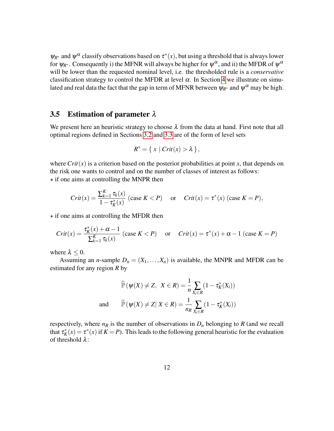$\psi_{R^*}$  and  $\psi^{\alpha}$  classify observations based on  $\tau^*(x)$ , but using a threshold that is always lower for  $\psi_{R^*}$ . Consequently i) the MFNR will always be higher for  $\psi^\alpha$ , and ii) the MFDR of  $\psi^\alpha$ will be lower than the requested nominal level, i.e. the thresholded rule is a *conservative* classification strategy to control the MFDR at level  $\alpha$ . In Section [4](#page-12-0) we illustrate on simulated and real data the fact that the gap in term of MFNR between  $\psi_{R^*}$  and  $\psi^\alpha$  may be high.

#### <span id="page-11-0"></span>3.5 Estimation of parameter  $\lambda$

We present here an heuristic strategy to choose  $\lambda$  from the data at hand. First note that all optimal regions defined in Sections [3.2](#page-8-2) and [3.3](#page-9-4) are of the form of level sets

$$
R^* = \{ x \mid Crit(x) > \lambda \},
$$

where  $Crit(x)$  is a criterion based on the posterior probabilities at point x, that depends on the risk one wants to control and on the number of classes of interest as follows:  $\star$  if one aims at controlling the MNPR then

$$
Crit(x) = \frac{\sum_{k=1}^{K} \tau_k(x)}{1 - \tau_k^*(x)} \text{ (case } K < P) \quad \text{or} \quad Crit(x) = \tau^*(x) \text{ (case } K = P),
$$

 $\star$  if one aims at controlling the MFDR then

$$
Crit(x) = \frac{\tau_K^*(x) + \alpha - 1}{\sum_{k=1}^K \tau_k(x)} (case \ K < P) \quad \text{or} \quad Crit(x) = \tau^*(x) + \alpha - 1 \ (case \ K = P)
$$

where  $\lambda \leq 0$ .

Assuming an *n*-sample  $D_n = (X_1, \ldots, X_n)$  is available, the MNPR and MFDR can be estimated for any region *R* by

$$
\widehat{\mathbb{P}}(\psi(X) \neq Z, \ X \in R) = \frac{1}{n} \sum_{X_i \in R} (1 - \tau_K^*(X_i))
$$
  
and 
$$
\widehat{\mathbb{P}}(\psi(X) \neq Z | X \in R) = \frac{1}{n_R} \sum_{X_i \in R} (1 - \tau_K^*(X_i))
$$

respectively, where  $n_R$  is the number of observations in  $D_n$  belonging to  $R$  (and we recall that  $\tau_K^*(x) = \tau^*(x)$  if  $K = P$ ). This leads to the following general heuristic for the evaluation of threshold λ: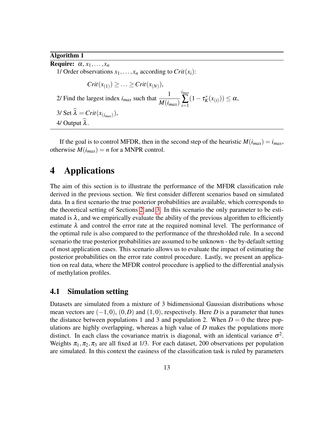Algorithm 1

**Require:**  $\alpha, x_1, \ldots, x_n$ 1/ Order observations  $x_1, \ldots, x_n$  according to  $Crit(x_i)$ :

 $Crit(x_{(1)}) \ge ... \ge Crit(x_{(N)}),$ 2/ Find the largest index  $i_{max}$  such that  $\frac{1}{M(i)}$ *M*(*imax*) *imax* ∑ *i*=1  $(1 - \tau_K^*(x_{(i)})) \leq \alpha,$ 3/ Set  $\lambda = Crit(x_{(i_{max})}),$ 

4/ Output  $\hat{\lambda}$ .

If the goal is to control MFDR, then in the second step of the heuristic  $M(i_{max}) = i_{max}$ , otherwise  $M(i_{max}) = n$  for a MNPR control.

## <span id="page-12-0"></span>4 Applications

The aim of this section is to illustrate the performance of the MFDR classification rule derived in the previous section. We first consider different scenarios based on simulated data. In a first scenario the true posterior probabilities are available, which corresponds to the theoretical setting of Sections [2](#page-4-0) and [3.](#page-7-0) In this scenario the only parameter to be estimated is  $\lambda$ , and we empirically evaluate the ability of the previous algorithm to efficiently estimate  $\lambda$  and control the error rate at the required nominal level. The performance of the optimal rule is also compared to the performance of the thresholded rule. In a second scenario the true posterior probabilities are assumed to be unknown - the by-default setting of most application cases. This scenario allows us to evaluate the impact of estimating the posterior probabilities on the error rate control procedure. Lastly, we present an application on real data, where the MFDR control procedure is applied to the differential analysis of methylation profiles.

#### 4.1 Simulation setting

Datasets are simulated from a mixture of 3 bidimensional Gaussian distributions whose mean vectors are  $(-1,0)$ ,  $(0,D)$  and  $(1,0)$ , respectively. Here *D* is a parameter that tunes the distance between populations 1 and 3 and population 2. When  $D = 0$  the three populations are highly overlapping, whereas a high value of *D* makes the populations more distinct. In each class the covariance matrix is diagonal, with an identical variance  $\sigma^2$ . Weights  $\pi_1, \pi_2, \pi_3$  are all fixed at 1/3. For each dataset, 200 observations per population are simulated. In this context the easiness of the classification task is ruled by parameters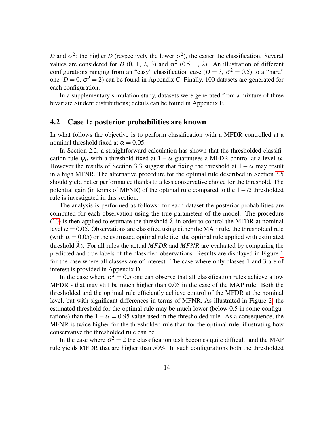*D* and  $\sigma^2$ : the higher *D* (respectively the lower  $\sigma^2$ ), the easier the classification. Several values are considered for *D* (0, 1, 2, 3) and  $\sigma^2$  (0.5, 1, 2). An illustration of different configurations ranging from an "easy" classification case ( $D = 3$ ,  $\sigma^2 = 0.5$ ) to a "hard" one ( $D = 0$ ,  $\sigma^2 = 2$ ) can be found in Appendix C. Finally, 100 datasets are generated for each configuration.

In a supplementary simulation study, datasets were generated from a mixture of three bivariate Student distributions; details can be found in Appendix F.

#### 4.2 Case 1: posterior probabilities are known

In what follows the objective is to perform classification with a MFDR controlled at a nominal threshold fixed at  $\alpha = 0.05$ .

In Section 2.2, a straightforward calculation has shown that the thresholded classification rule  $\psi_{\alpha}$  with a threshold fixed at  $1 - \alpha$  guarantees a MFDR control at a level  $\alpha$ . However the results of Section 3.3 suggest that fixing the threshold at  $1 - \alpha$  may result in a high MFNR. The alternative procedure for the optimal rule described in Section [3.5](#page-11-0) should yield better performance thanks to a less conservative choice for the threshold. The potential gain (in terms of MFNR) of the optimal rule compared to the  $1-\alpha$  thresholded rule is investigated in this section.

The analysis is performed as follows: for each dataset the posterior probabilities are computed for each observation using the true parameters of the model. The procedure [\(10\)](#page-9-1) is then applied to estimate the threshold  $\lambda$  in order to control the MFDR at nominal level  $\alpha = 0.05$ . Observations are classified using either the MAP rule, the thresholded rule (with  $\alpha = 0.05$ ) or the estimated optimal rule (i.e. the optimal rule applied with estimated threshold  $\widehat{\lambda}$ ). For all rules the actual *MFDR* and *MFNR* are evaluated by comparing the predicted and true labels of the classified observations. Results are displayed in Figure [1](#page-14-0) for the case where all classes are of interest. The case where only classes 1 and 3 are of interest is provided in Appendix D.

In the case where  $\sigma^2 = 0.5$  one can observe that all classification rules achieve a low MFDR - that may still be much higher than 0.05 in the case of the MAP rule. Both the thresholded and the optimal rule efficiently achieve control of the MFDR at the nominal level, but with significant differences in terms of MFNR. As illustrated in Figure [2,](#page-15-0) the estimated threshold for the optimal rule may be much lower (below 0.5 in some configurations) than the  $1-\alpha = 0.95$  value used in the thresholded rule. As a consequence, the MFNR is twice higher for the thresholded rule than for the optimal rule, illustrating how conservative the thresholded rule can be.

In the case where  $\sigma^2 = 2$  the classification task becomes quite difficult, and the MAP rule yields MFDR that are higher than 50%. In such configurations both the thresholded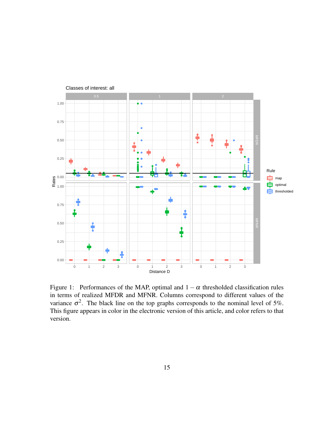

<span id="page-14-0"></span>Figure 1: Performances of the MAP, optimal and  $1 - \alpha$  thresholded classification rules in terms of realized MFDR and MFNR. Columns correspond to different values of the variance  $\sigma^2$ . The black line on the top graphs corresponds to the nominal level of 5%. This figure appears in color in the electronic version of this article, and color refers to that version.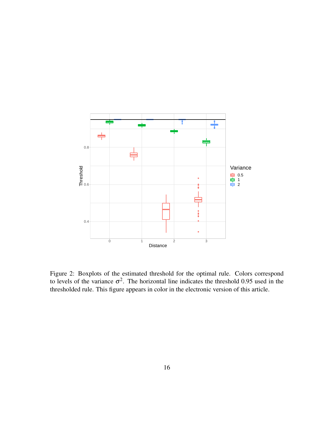

<span id="page-15-0"></span>Figure 2: Boxplots of the estimated threshold for the optimal rule. Colors correspond to levels of the variance  $\sigma^2$ . The horizontal line indicates the threshold 0.95 used in the thresholded rule. This figure appears in color in the electronic version of this article.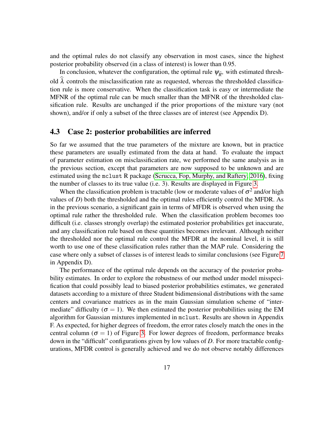and the optimal rules do not classify any observation in most cases, since the highest posterior probability observed (in a class of interest) is lower than 0.95.

In conclusion, whatever the configuration, the optimal rule  $\psi_{\hat{R}^*}$  with estimated threshold  $\lambda$  controls the misclassification rate as requested, whereas the thresholded classification rule is more conservative. When the classification task is easy or intermediate the MFNR of the optimal rule can be much smaller than the MFNR of the thresholded classification rule. Results are unchanged if the prior proportions of the mixture vary (not shown), and/or if only a subset of the three classes are of interest (see Appendix D).

### 4.3 Case 2: posterior probabilities are inferred

So far we assumed that the true parameters of the mixture are known, but in practice these parameters are usually estimated from the data at hand. To evaluate the impact of parameter estimation on misclassification rate, we performed the same analysis as in the previous section, except that parameters are now supposed to be unknown and are estimated using the mclust R package [\(Scrucca, Fop, Murphy, and Raftery, 2016\)](#page-24-5), fixing the number of classes to its true value (i.e. 3). Results are displayed in Figure [3.](#page-17-0)

When the classification problem is tractable (low or moderate values of  $\sigma^2$  and/or high values of *D*) both the thresholded and the optimal rules efficiently control the MFDR. As in the previous scenario, a significant gain in terms of MFDR is observed when using the optimal rule rather the thresholded rule. When the classification problem becomes too difficult (i.e. classes strongly overlap) the estimated posterior probabilities get inaccurate, and any classification rule based on these quantities becomes irrelevant. Although neither the thresholded nor the optimal rule control the MFDR at the nominal level, it is still worth to use one of these classification rules rather than the MAP rule. Considering the case where only a subset of classes is of interest leads to similar conclusions (see Figure [7](#page-29-0) in Appendix D).

The performance of the optimal rule depends on the accuracy of the posterior probability estimates. In order to explore the robustness of our method under model misspecification that could possibly lead to biased posterior probabilities estimates, we generated datasets according to a mixture of three Student bidimensional distributions with the same centers and covariance matrices as in the main Gaussian simulation scheme of "intermediate" difficulty ( $\sigma = 1$ ). We then estimated the posterior probabilities using the EM algorithm for Gaussian mixtures implemented in mclust. Results are shown in Appendix F. As expected, for higher degrees of freedom, the error rates closely match the ones in the central column ( $\sigma = 1$ ) of Figure [3.](#page-17-0) For lower degrees of freedom, performance breaks down in the "difficult" configurations given by low values of *D*. For more tractable configurations, MFDR control is generally achieved and we do not observe notably differences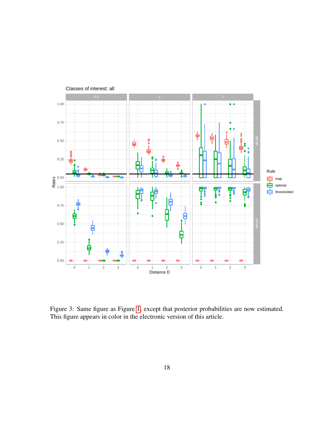

<span id="page-17-0"></span>Figure 3: Same figure as Figure [1,](#page-14-0) except that posterior probabilities are now estimated. This figure appears in color in the electronic version of this article.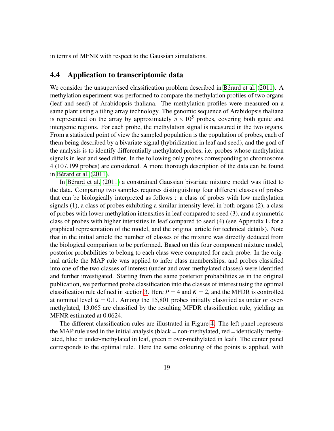in terms of MFNR with respect to the Gaussian simulations.

#### 4.4 Application to transcriptomic data

We consider the unsupervised classification problem described in Bérard et al.  $(2011)$ . A methylation experiment was performed to compare the methylation profiles of two organs (leaf and seed) of Arabidopsis thaliana. The methylation profiles were measured on a same plant using a tiling array technology. The genomic sequence of Arabidopsis thaliana is represented on the array by approximately  $5 \times 10^5$  probes, covering both genic and intergenic regions. For each probe, the methylation signal is measured in the two organs. From a statistical point of view the sampled population is the population of probes, each of them being described by a bivariate signal (hybridization in leaf and seed), and the goal of the analysis is to identify differentially methylated probes, i.e. probes whose methylation signals in leaf and seed differ. In the following only probes corresponding to chromosome 4 (107,199 probes) are considered. A more thorough description of the data can be found in Bérard et al.  $(2011)$ .

In Bérard et al.  $(2011)$  a constrained Gaussian bivariate mixture model was fitted to the data. Comparing two samples requires distinguishing four different classes of probes that can be biologically interpreted as follows : a class of probes with low methylation signals (1), a class of probes exhibiting a similar intensity level in both organs (2), a class of probes with lower methylation intensities in leaf compared to seed (3), and a symmetric class of probes with higher intensities in leaf compared to seed (4) (see Appendix E for a graphical representation of the model, and the original article for technical details). Note that in the initial article the number of classes of the mixture was directly deduced from the biological comparison to be performed. Based on this four component mixture model, posterior probabilities to belong to each class were computed for each probe. In the original article the MAP rule was applied to infer class memberships, and probes classified into one of the two classes of interest (under and over-methylated classes) were identified and further investigated. Starting from the same posterior probabilities as in the original publication, we performed probe classification into the classes of interest using the optimal classification rule defined in section [3.](#page-7-0) Here  $P = 4$  and  $K = 2$ , and the MFDR is controlled at nominal level  $\alpha = 0.1$ . Among the 15,801 probes initially classified as under or overmethylated, 13,065 are classified by the resulting MFDR classification rule, yielding an MFNR estimated at 0.0624.

The different classification rules are illustrated in Figure [4.](#page-19-0) The left panel represents the MAP rule used in the initial analysis (black  $=$  non-methylated, red  $=$  identically methylated, blue = under-methylated in leaf, green = over-methylated in leaf). The center panel corresponds to the optimal rule. Here the same colouring of the points is applied, with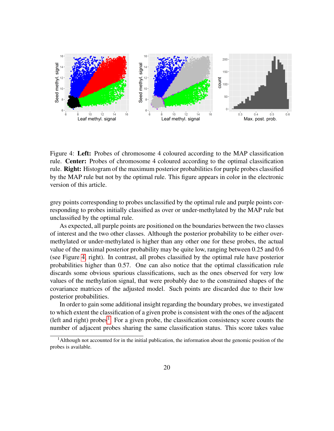

<span id="page-19-0"></span>Figure 4: Left: Probes of chromosome 4 coloured according to the MAP classification rule. Center: Probes of chromosome 4 coloured according to the optimal classification rule. **Right:** Histogram of the maximum posterior probabilities for purple probes classified by the MAP rule but not by the optimal rule. This figure appears in color in the electronic version of this article.

grey points corresponding to probes unclassified by the optimal rule and purple points corresponding to probes initially classified as over or under-methylated by the MAP rule but unclassified by the optimal rule.

As expected, all purple points are positioned on the boundaries between the two classes of interest and the two other classes. Although the posterior probability to be either overmethylated or under-methylated is higher than any other one for these probes, the actual value of the maximal posterior probability may be quite low, ranging between 0.25 and 0.6 (see Figure [4,](#page-19-0) right). In contrast, all probes classified by the optimal rule have posterior probabilities higher than 0.57. One can also notice that the optimal classification rule discards some obvious spurious classifications, such as the ones observed for very low values of the methylation signal, that were probably due to the constrained shapes of the covariance matrices of the adjusted model. Such points are discarded due to their low posterior probabilities.

In order to gain some additional insight regarding the boundary probes, we investigated to which extent the classification of a given probe is consistent with the ones of the adjacent (left and right) probes<sup>[1](#page-19-1)</sup>. For a given probe, the classification consistency score counts the number of adjacent probes sharing the same classification status. This score takes value

<span id="page-19-1"></span><sup>1</sup>Although not accounted for in the initial publication, the information about the genomic position of the probes is available.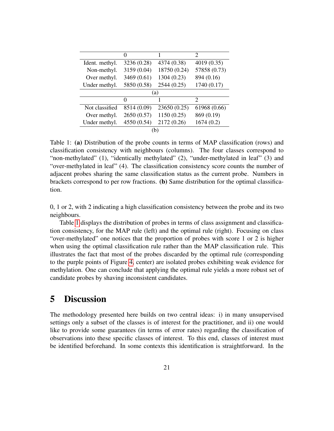|                |             |              | 2            |
|----------------|-------------|--------------|--------------|
| Ident. methyl. | 3236 (0.28) | 4374 (0.38)  | 4019 (0.35)  |
| Non-methyl.    | 3159 (0.04) | 18750 (0.24) | 57858 (0.73) |
| Over methyl.   | 3469 (0.61) | 1304 (0.23)  | 894 (0.16)   |
| Under methyl.  | 5850 (0.58) | 2544 (0.25)  | 1740 (0.17)  |
| (a)            |             |              |              |
|                | 0           |              | 2            |
| Not classified | 8514 (0.09) | 23650 (0.25) | 61968 (0.66) |
| Over methyl.   | 2650 (0.57) | 1150(0.25)   | 869 (0.19)   |
| Under methyl.  | 4550 (0.54) | 2172 (0.26)  | 1674(0.2)    |
| n              |             |              |              |

<span id="page-20-1"></span>Table 1: (a) Distribution of the probe counts in terms of MAP classification (rows) and classification consistency with neighbours (columns). The four classes correspond to "non-methylated" (1), "identically methylated" (2), "under-methylated in leaf" (3) and "over-methylated in leaf" (4). The classification consistency score counts the number of adjacent probes sharing the same classification status as the current probe. Numbers in brackets correspond to per row fractions. (b) Same distribution for the optimal classification.

0, 1 or 2, with 2 indicating a high classification consistency between the probe and its two neighbours.

Table [1](#page-20-1) displays the distribution of probes in terms of class assignment and classification consistency, for the MAP rule (left) and the optimal rule (right). Focusing on class "over-methylated" one notices that the proportion of probes with score 1 or 2 is higher when using the optimal classification rule rather than the MAP classification rule. This illustrates the fact that most of the probes discarded by the optimal rule (corresponding to the purple points of Figure [4,](#page-19-0) center) are isolated probes exhibiting weak evidence for methylation. One can conclude that applying the optimal rule yields a more robust set of candidate probes by shaving inconsistent candidates.

## <span id="page-20-0"></span>5 Discussion

The methodology presented here builds on two central ideas: i) in many unsupervised settings only a subset of the classes is of interest for the practitioner, and ii) one would like to provide some guarantees (in terms of error rates) regarding the classification of observations into these specific classes of interest. To this end, classes of interest must be identified beforehand. In some contexts this identification is straightforward. In the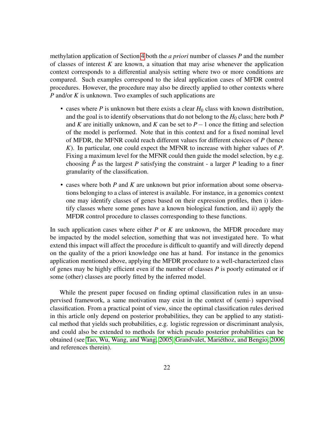methylation application of Section [4](#page-12-0) both the *a priori* number of classes *P* and the number of classes of interest *K* are known, a situation that may arise whenever the application context corresponds to a differential analysis setting where two or more conditions are compared. Such examples correspond to the ideal application cases of MFDR control procedures. However, the procedure may also be directly applied to other contexts where *P* and/or *K* is unknown. Two examples of such applications are

- cases where  $P$  is unknown but there exists a clear  $H_0$  class with known distribution, and the goal is to identify observations that do not belong to the  $H_0$  class; here both  $P$ and *K* are initially unknown, and *K* can be set to  $P-1$  once the fitting and selection of the model is performed. Note that in this context and for a fixed nominal level of MFDR, the MFNR could reach different values for different choices of *P* (hence *K*). In particular, one could expect the MFNR to increase with higher values of *P*. Fixing a maximum level for the MFNR could then guide the model selection, by e.g. choosing  $\hat{P}$  as the largest P satisfying the constraint - a larger P leading to a finer granularity of the classification.
- cases where both *P* and *K* are unknown but prior information about some observations belonging to a class of interest is available. For instance, in a genomics context one may identify classes of genes based on their expression profiles, then i) identify classes where some genes have a known biological function, and ii) apply the MFDR control procedure to classes corresponding to these functions.

In such application cases where either *P* or *K* are unknown, the MFDR procedure may be impacted by the model selection, something that was not investigated here. To what extend this impact will affect the procedure is difficult to quantify and will directly depend on the quality of the a priori knowledge one has at hand. For instance in the genomics application mentioned above, applying the MFDR procedure to a well-characterized class of genes may be highly efficient even if the number of classes *P* is poorly estimated or if some (other) classes are poorly fitted by the inferred model.

While the present paper focused on finding optimal classification rules in an unsupervised framework, a same motivation may exist in the context of (semi-) supervised classification. From a practical point of view, since the optimal classification rules derived in this article only depend on posterior probabilities, they can be applied to any statistical method that yields such probabilities, e.g. logistic regression or discriminant analysis, and could also be extended to methods for which pseudo posterior probabilities can be obtained (see [Tao, Wu, Wang, and Wang, 2005,](#page-24-6) [Grandvalet, Mariethoz, and Bengio, 2006](#page-23-11) ´ and references therein).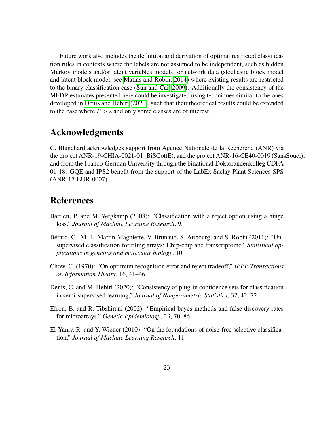Future work also includes the definition and derivation of optimal restricted classification rules in contexts where the labels are not assumed to be independent, such as hidden Markov models and/or latent variables models for network data (stochastic block model and latent block model, see [Matias and Robin, 2014\)](#page-23-12) where existing results are restricted to the binary classification case [\(Sun and Cai, 2009\)](#page-24-7). Additionally the consistency of the MFDR estimates presented here could be investigated using techniques similar to the ones developed in [Denis and Hebiri](#page-22-5) [\(2020\)](#page-22-5), such that their theoretical results could be extended to the case where  $P > 2$  and only some classes are of interest.

## Acknowledgments

G. Blanchard acknowledges support from Agence Nationale de la Recherche (ANR) via the project ANR-19-CHIA-0021-01 (BiSCottE), and the project ANR-16-CE40-0019 (SansSouci); and from the Franco-German University through the binational Doktorandenkolleg CDFA 01-18. GQE and IPS2 benefit from the support of the LabEx Saclay Plant Sciences-SPS (ANR-17-EUR-0007).

## References

- <span id="page-22-2"></span>Bartlett, P. and M. Wegkamp (2008): "Classification with a reject option using a hinge loss." *Journal of Machine Learning Research*, 9.
- <span id="page-22-0"></span>Bérard, C., M.-L. Martin-Magniette, V. Brunaud, S. Aubourg, and S. Robin (2011): "Unsupervised classification for tiling arrays: Chip-chip and transcriptome," *Statistical applications in genetics and molecular biology*, 10.
- <span id="page-22-1"></span>Chow, C. (1970): "On optimum recognition error and reject tradeoff," *IEEE Transactions on Information Theory*, 16, 41–46.
- <span id="page-22-5"></span>Denis, C. and M. Hebiri (2020): "Consistency of plug-in confidence sets for classification in semi-supervised learning," *Journal of Nonparametric Statistics*, 32, 42–72.
- <span id="page-22-3"></span>Efron, B. and R. Tibshirani (2002): "Empirical bayes methods and false discovery rates for microarrays," *Genetic Epidemiology*, 23, 70–86.
- <span id="page-22-4"></span>El-Yaniv, R. and Y. Wiener (2010): "On the foundations of noise-free selective classification." *Journal of Machine Learning Research*, 11.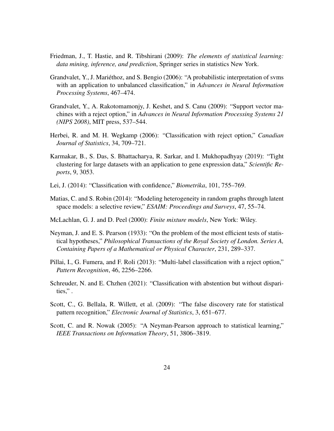- <span id="page-23-1"></span>Friedman, J., T. Hastie, and R. Tibshirani (2009): *The elements of statistical learning: data mining, inference, and prediction*, Springer series in statistics New York.
- <span id="page-23-11"></span>Grandvalet, Y., J. Mariethoz, and S. Bengio (2006): "A probabilistic interpretation of svms ´ with an application to unbalanced classification," in *Advances in Neural Information Processing Systems*, 467–474.
- <span id="page-23-4"></span>Grandvalet, Y., A. Rakotomamonjy, J. Keshet, and S. Canu (2009): "Support vector machines with a reject option," in *Advances in Neural Information Processing Systems 21 (NIPS 2008)*, MIT press, 537–544.
- <span id="page-23-2"></span>Herbei, R. and M. H. Wegkamp (2006): "Classification with reject option," *Canadian Journal of Statistics*, 34, 709–721.
- <span id="page-23-6"></span>Karmakar, B., S. Das, S. Bhattacharya, R. Sarkar, and I. Mukhopadhyay (2019): "Tight clustering for large datasets with an application to gene expression data," *Scientific Reports*, 9, 3053.
- <span id="page-23-9"></span>Lei, J. (2014): "Classification with confidence," *Biometrika*, 101, 755–769.
- <span id="page-23-12"></span>Matias, C. and S. Robin (2014): "Modeling heterogeneity in random graphs through latent space models: a selective review," *ESAIM: Proceedings and Surveys*, 47, 55–74.
- <span id="page-23-0"></span>McLachlan, G. J. and D. Peel (2000): *Finite mixture models*, New York: Wiley.
- <span id="page-23-10"></span>Neyman, J. and E. S. Pearson (1933): "On the problem of the most efficient tests of statistical hypotheses," *Philosophical Transactions of the Royal Society of London. Series A, Containing Papers of a Mathematical or Physical Character*, 231, 289–337.
- <span id="page-23-3"></span>Pillai, I., G. Fumera, and F. Roli (2013): "Multi-label classification with a reject option," *Pattern Recognition*, 46, 2256–2266.
- <span id="page-23-5"></span>Schreuder, N. and E. Chzhen (2021): "Classification with abstention but without disparities," .
- <span id="page-23-8"></span>Scott, C., G. Bellala, R. Willett, et al. (2009): "The false discovery rate for statistical pattern recognition," *Electronic Journal of Statistics*, 3, 651–677.
- <span id="page-23-7"></span>Scott, C. and R. Nowak (2005): "A Neyman-Pearson approach to statistical learning," *IEEE Transactions on Information Theory*, 51, 3806–3819.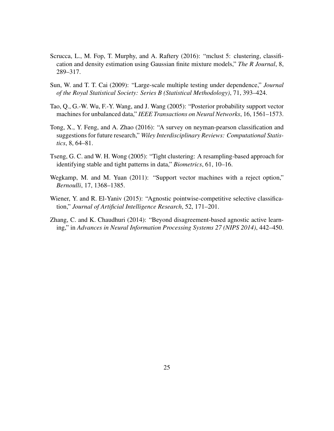- <span id="page-24-5"></span>Scrucca, L., M. Fop, T. Murphy, and A. Raftery (2016): "mclust 5: clustering, classification and density estimation using Gaussian finite mixture models," *The R Journal*, 8, 289–317.
- <span id="page-24-7"></span>Sun, W. and T. T. Cai (2009): "Large-scale multiple testing under dependence," *Journal of the Royal Statistical Society: Series B (Statistical Methodology)*, 71, 393–424.
- <span id="page-24-6"></span>Tao, Q., G.-W. Wu, F.-Y. Wang, and J. Wang (2005): "Posterior probability support vector machines for unbalanced data," *IEEE Transactions on Neural Networks*, 16, 1561–1573.
- <span id="page-24-3"></span>Tong, X., Y. Feng, and A. Zhao (2016): "A survey on neyman-pearson classification and suggestions for future research," *Wiley Interdisciplinary Reviews: Computational Statistics*, 8, 64–81.
- <span id="page-24-2"></span>Tseng, G. C. and W. H. Wong (2005): "Tight clustering: A resampling-based approach for identifying stable and tight patterns in data," *Biometrics*, 61, 10–16.
- <span id="page-24-0"></span>Wegkamp, M. and M. Yuan (2011): "Support vector machines with a reject option," *Bernoulli*, 17, 1368–1385.
- <span id="page-24-4"></span>Wiener, Y. and R. El-Yaniv (2015): "Agnostic pointwise-competitive selective classification," *Journal of Artificial Intelligence Research*, 52, 171–201.
- <span id="page-24-1"></span>Zhang, C. and K. Chaudhuri (2014): "Beyond disagreement-based agnostic active learning," in *Advances in Neural Information Processing Systems 27 (NIPS 2014)*, 442–450.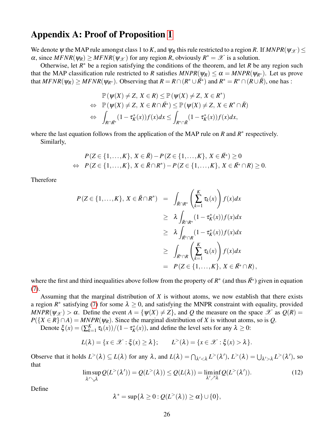## Appendix A: Proof of Proposition [1](#page-8-3)

We denote  $\psi$  the MAP rule amongst class 1 to *K*, and  $\psi_R$  this rule restricted to a region *R*. If  $MNPR(\psi_{\mathscr{X}}) \leq$  $\alpha$ , since  $MFNR(\psi_R) \geq MFNR(\psi_{\mathcal{X}})$  for any region *R*, obviously  $R^* = \mathcal{X}$  is a solution.

Otherwise, let  $R^*$  be a region satisfying the conditions of the theorem, and let  $R$  be any region such that the MAP classification rule restricted to *R* satisfies  $MNPR(\psi_R) \leq \alpha = MNPR(\psi_{R^*})$ . Let us prove that  $MFNR(\psi_R) \geq MFNR(\psi_{R^*})$ . Observing that  $R = R \cap (R^* \cup \overline{R^*})$  and  $R^* = R^* \cap (R \cup \overline{R})$ , one has :

$$
\mathbb{P}(\psi(X) \neq Z, X \in R) \leq \mathbb{P}(\psi(X) \neq Z, X \in R^*)
$$
  
\n
$$
\Leftrightarrow \mathbb{P}(\psi(X) \neq Z, X \in R \cap \overline{R^*}) \leq \mathbb{P}(\psi(X) \neq Z, X \in R^* \cap \overline{R})
$$
  
\n
$$
\Leftrightarrow \int_{R \cap \overline{R^*}} (1 - \tau_K^*(x)) f(x) dx \leq \int_{R^* \cap \overline{R}} (1 - \tau_K^*(x)) f(x) dx,
$$

where the last equation follows from the application of the MAP rule on  $R$  and  $R^*$  respectively. Similarly,

$$
P(Z \in \{1, ..., K\}, X \in \bar{R}) - P(Z \in \{1, ..., K\}, X \in \bar{R}^*) \ge 0
$$
  
\n
$$
\Leftrightarrow P(Z \in \{1, ..., K\}, X \in \bar{R} \cap R^*) - P(Z \in \{1, ..., K\}, X \in \bar{R}^* \cap R) \ge 0.
$$

Therefore

$$
P(Z \in \{1, ..., K\}, X \in \bar{R} \cap R^*) = \int_{\bar{R} \cap R^*} \left(\sum_{k=1}^K \tau_k(x)\right) f(x) dx
$$
  
\n
$$
\geq \lambda \int_{\bar{R} \cap R^*} (1 - \tau_K^*(x)) f(x) dx
$$
  
\n
$$
\geq \lambda \int_{\bar{R}^* \cap R} (1 - \tau_K^*(x)) f(x) dx
$$
  
\n
$$
\geq \int_{\bar{R}^* \cap R} \left(\sum_{k=1}^K \tau_k(x)\right) f(x) dx
$$
  
\n
$$
= P(Z \in \{1, ..., K\}, X \in \bar{R}^* \cap R),
$$

where the first and third inequalities above follow from the property of  $R^*$  (and thus  $\bar{R}^*$ ) given in equation [\(7\)](#page-8-1).

Assuming that the marginal distribution of *X* is without atoms, we now establish that there exists a region  $R^*$  satisfying [\(7\)](#page-8-1) for some  $\lambda \geq 0$ , and satisfying the MNPR constraint with equality, provided  $MNPR(\psi_{\mathcal{X}}) > \alpha$ . Define the event  $A = {\psi(X) \neq Z}$ , and *Q* the measure on the space  $\mathcal{X}$  as  $Q(R) =$  $P({X \in R} \cap A) = MNPR(\psi_R)$ . Since the marginal distribution of *X* is without atoms, so is *Q*.

Denote  $\xi(x) = (\sum_{k=1}^K x_k)^T$  $\frac{K}{k-1} \tau_k(x)/(1 - \tau_K^*(x))$ , and define the level sets for any  $\lambda \geq 0$ :

$$
L(\lambda) = \{x \in \mathcal{X} : \xi(x) \ge \lambda\}; \qquad L^{>}(\lambda) = \{x \in \mathcal{X} : \xi(x) > \lambda\}.
$$

Observe that it holds  $L^>(\lambda) \subseteq L(\lambda)$  for any  $\lambda$ , and  $L(\lambda) = \bigcap_{\lambda' < \lambda} L^>(\lambda'), L^>(\lambda) = \bigcup_{\lambda' > \lambda} L^>(\lambda'),$  so that

<span id="page-25-0"></span>
$$
\limsup_{\lambda' \searrow \lambda} Q(L^{>}(\lambda')) = Q(L^{>}(\lambda)) \le Q(L(\lambda)) = \liminf_{\lambda' \nearrow \lambda} Q(L^{>}(\lambda')).
$$
\n(12)

Define

$$
\lambda^* = \sup\{\lambda \geq 0 : Q(L^>(\lambda)) \geq \alpha\} \cup \{0\},\
$$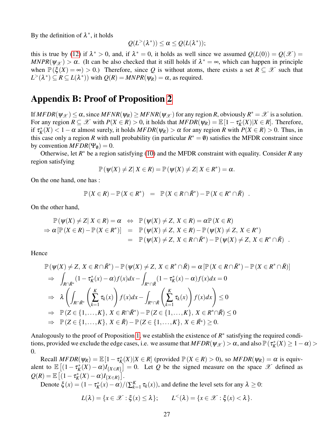By the definition of  $\lambda^*$ , it holds

$$
Q(L^>(\lambda^*))\leq \alpha\leq Q(L(\lambda^*));
$$

this is true by [\(12\)](#page-25-0) if  $\lambda^* > 0$ , and, if  $\lambda^* = 0$ , it holds as well since we assumed  $Q(L(0)) = Q(\mathcal{X}) =$  $MNPR(\psi_{\mathcal{X}}) > \alpha$ . (It can be also checked that it still holds if  $\lambda^* = \infty$ , which can happen in principle when  $\mathbb{P}(\xi(X) = \infty) > 0$ .) Therefore, since Q is without atoms, there exists a set  $R \subseteq \mathcal{X}$  such that  $L^>(\lambda^*) \subseteq R \subseteq L(\lambda^*)$ ) with  $Q(R) = MNPR(\psi_R) = \alpha$ , as required.

## Appendix B: Proof of Proposition [2](#page-9-2)

If  $MFDR(\psi_{\mathcal{X}}) \leq \alpha$ , since  $MFNR(\psi_R) \geq MFNR(\psi_{\mathcal{X}})$  for any region *R*, obviously  $R^* = \mathcal{X}$  is a solution. For any region  $R \subseteq \mathcal{X}$  with  $P(X \in R) > 0$ , it holds that  $MFDR(\psi_R) = \mathbb{E}[1 - \tau_K^*(X)|X \in R]$ . Therefore, if  $\tau_K^*(X) < 1 - \alpha$  almost surely, it holds  $MFDR(\psi_R) > \alpha$  for any region *R* with  $P(X \in R) > 0$ . Thus, in this case only a region *R* with null probability (in particular  $R^* = \emptyset$ ) satisfies the MFDR constraint since by convention  $MFDR(\Psi_{\emptyset}) = 0$ .

Otherwise, let *R* <sup>∗</sup> be a region satisfying [\(10\)](#page-9-1) and the MFDR constraint with equality. Consider *R* any region satisfying

$$
\mathbb{P}(\psi(X) \neq Z | X \in R) = \mathbb{P}(\psi(X) \neq Z | X \in R^*) = \alpha.
$$

On the one hand, one has :

$$
\mathbb{P}(X \in R) - \mathbb{P}(X \in R^*) = \mathbb{P}(X \in R \cap \bar{R}^*) - \mathbb{P}(X \in R^* \cap \bar{R}) .
$$

On the other hand,

$$
\mathbb{P}(\psi(X) \neq Z | X \in R) = \alpha \Leftrightarrow \mathbb{P}(\psi(X) \neq Z, X \in R) = \alpha \mathbb{P}(X \in R) \n\Rightarrow \alpha [\mathbb{P}(X \in R) - \mathbb{P}(X \in R^*)] = \mathbb{P}(\psi(X) \neq Z, X \in R) - \mathbb{P}(\psi(X) \neq Z, X \in R^*) \n= \mathbb{P}(\psi(X) \neq Z, X \in R \cap \overline{R}^*) - \mathbb{P}(\psi(X) \neq Z, X \in R^* \cap \overline{R}) .
$$

Hence

$$
\mathbb{P}(\psi(X) \neq Z, X \in R \cap \bar{R}^*) - \mathbb{P}(\psi(X) \neq Z, X \in R^* \cap \bar{R}) = \alpha \left[ \mathbb{P}(X \in R \cap \bar{R}^*) - \mathbb{P}(X \in R^* \cap \bar{R}) \right]
$$
\n
$$
\Rightarrow \int_{R \cap \bar{R}^*} (1 - \tau_K^*(x) - \alpha) f(x) dx - \int_{R^* \cap \bar{R}} (1 - \tau_K^*(x) - \alpha) f(x) dx = 0
$$
\n
$$
\Rightarrow \lambda \left( \int_{R \cap \bar{R}^*} \left( \sum_{k=1}^K \tau_k(x) \right) f(x) dx - \int_{R^* \cap \bar{R}} \left( \sum_{k=1}^K \tau_k(x) \right) f(x) dx \right) \leq 0
$$
\n
$$
\Rightarrow \mathbb{P}(Z \in \{1, ..., K\}, X \in R \cap \bar{R}^*) - \mathbb{P}(Z \in \{1, ..., K\}, X \in R^* \cap \bar{R}) \leq 0
$$
\n
$$
\Rightarrow \mathbb{P}(Z \in \{1, ..., K\}, X \in \bar{R}) - \mathbb{P}(Z \in \{1, ..., K\}, X \in \bar{R}^*) \geq 0.
$$

Analogously to the proof of Proposition [1,](#page-8-3) we establish the existence of  $R^*$  satisfying the required conditions, provided we exclude the edge cases, i.e. we assume that  $MFDR(\psi_{\mathscr{X}}) > \alpha$ , and also  $\mathbb{P}(\tau_K^*(X) \geq 1 - \alpha) >$ 0.

Recall  $MFDR(\psi_R) = \mathbb{E}[1 - \tau_K^*(X) | X \in R]$  (provided  $\mathbb{P}(X \in R) > 0$ ), so  $MFDR(\psi_R) = \alpha$  is equivalent to  $\mathbb{E}[(1-\tau_K^*(X)-\alpha)I_{\{X\in\mathbb{R}\}}]=0$ . Let *Q* be the signed measure on the space *X* defined as  $Q(R) = \mathbb{E} \left[ (1 - \tau_K^*(X) - \alpha) I_{\{X \in R\}} \right].$ 

Denote ξ(*x*) =  $(1 - τ<sub>K</sub><sup>*</sup>(x) - α)/(\sum_{k=1}^{K} (x<sub>k</sub>) - α)$  $K_{k=1}^{K}$   $\tau_k(x)$ ), and define the level sets for any  $\lambda \geq 0$ :

$$
L(\lambda) = \{x \in \mathscr{X} : \xi(x) \leq \lambda\}; \qquad L^{<}(\lambda) = \{x \in \mathscr{X} : \xi(x) < \lambda\}.
$$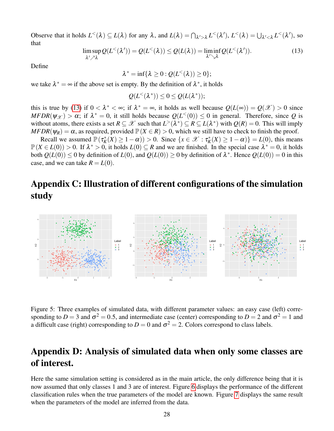Observe that it holds  $L^<(\lambda) \subseteq L(\lambda)$  for any  $\lambda$ , and  $L(\lambda) = \bigcap_{\lambda' > \lambda} L^<(\lambda'), L^<(\lambda) = \bigcup_{\lambda' < \lambda} L^<(\lambda'),$  so that

<span id="page-27-0"></span>
$$
\limsup_{\lambda' \nearrow \lambda} Q(L^{<}(\lambda')) = Q(L^{<}(\lambda)) \le Q(L(\lambda)) = \liminf_{\lambda' \searrow \lambda} Q(L^{<}(\lambda')).
$$
\n(13)

Define

$$
\lambda^* = \inf \{ \lambda \geq 0 : Q(L^<(\lambda)) \geq 0 \};
$$

we take  $\lambda^* = \infty$  if the above set is empty. By the definition of  $\lambda^*$ , it holds

$$
Q(L^{<}(\lambda^*)) \leq 0 \leq Q(L(\lambda^*));
$$

this is true by [\(13\)](#page-27-0) if  $0 < \lambda^* < \infty$ ; if  $\lambda^* = \infty$ , it holds as well because  $Q(L(\infty)) = Q(\mathcal{X}) > 0$  since  $MFDR(\psi_{\mathcal{X}}) > \alpha$ ; if  $\lambda^* = 0$ , it still holds because  $Q(L^<0) \le 0$  in general. Therefore, since Q is without atoms, there exists a set  $R \subseteq \mathcal{X}$  such that  $L^>(\lambda^*) \subseteq R \subseteq L(\lambda^*)$  with  $Q(R) = 0$ . This will imply  $MFDR(\psi_R) = \alpha$ , as required, provided  $\mathbb{P}(X \in R) > 0$ , which we still have to check to finish the proof.

Recall we assumed  $\mathbb{P}(\tau_K^*(X) \ge 1 - \alpha)$ ) > 0. Since  $\{x \in \mathcal{X} : \tau_K^*(X) \ge 1 - \alpha)\} = L(0)$ , this means  $\mathbb{P}(X \in L(0)) > 0$ . If  $\lambda^* > 0$ , it holds  $L(0) \subseteq R$  and we are finished. In the special case  $\lambda^* = 0$ , it holds both  $Q(L(0)) \le 0$  by definition of  $L(0)$ , and  $Q(L(0)) \ge 0$  by definition of  $\lambda^*$ . Hence  $Q(L(0)) = 0$  in this case, and we can take  $R = L(0)$ .

## Appendix C: Illustration of different configurations of the simulation study



Figure 5: Three examples of simulated data, with different parameter values: an easy case (left) corresponding to  $D = 3$  and  $\sigma^2 = 0.5$ , and intermediate case (center) corresponding to  $D = 2$  and  $\sigma^2 = 1$  and a difficult case (right) corresponding to  $D = 0$  and  $\sigma^2 = 2$ . Colors correspond to class labels.

## Appendix D: Analysis of simulated data when only some classes are of interest.

Here the same simulation setting is considered as in the main article, the only difference being that it is now assumed that only classes 1 and 3 are of interest. Figure [6](#page-28-0) displays the performance of the different classification rules when the true parameters of the model are known. Figure [7](#page-29-0) displays the same result when the parameters of the model are inferred from the data.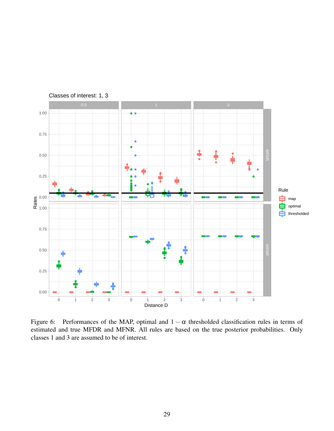

Classes of interest: 1, 3

<span id="page-28-0"></span>Figure 6: Performances of the MAP, optimal and  $1 - \alpha$  thresholded classification rules in terms of estimated and true MFDR and MFNR. All rules are based on the true posterior probabilities. Only classes 1 and 3 are assumed to be of interest.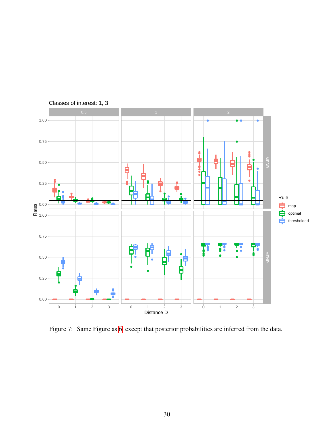

<span id="page-29-0"></span>Figure 7: Same Figure as [6,](#page-28-0) except that posterior probabilities are inferred from the data.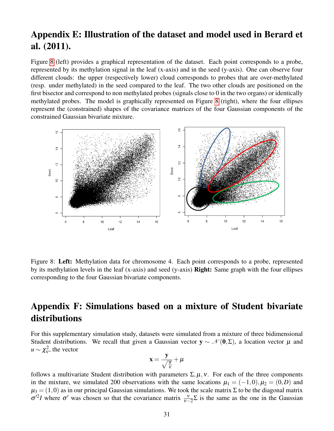## Appendix E: Illustration of the dataset and model used in Berard et al. (2011).

Figure [8](#page-30-0) (left) provides a graphical representation of the dataset. Each point corresponds to a probe, represented by its methylation signal in the leaf (x-axis) and in the seed (y-axis). One can observe four different clouds: the upper (respectively lower) cloud corresponds to probes that are over-methylated (resp. under methylated) in the seed compared to the leaf. The two other clouds are positioned on the first bisector and correspond to non methylated probes (signals close to 0 in the two organs) or identically methylated probes. The model is graphically represented on Figure [8](#page-30-0) (right), where the four ellipses represent the (constrained) shapes of the covariance matrices of the four Gaussian components of the constrained Gaussian bivariate mixture.



<span id="page-30-0"></span>Figure 8: Left: Methylation data for chromosome 4. Each point corresponds to a probe, represented by its methylation levels in the leaf (x-axis) and seed (y-axis) Right: Same graph with the four ellipses corresponding to the four Gaussian bivariate components.

## Appendix F: Simulations based on a mixture of Student bivariate distributions

For this supplementary simulation study, datasets were simulated from a mixture of three bidimensional Student distributions. We recall that given a Gaussian vector  $y \sim \mathcal{N}(0, \Sigma)$ , a location vector  $\mu$  and  $u \sim \chi^2_{\rm v}$ , the vector

$$
x=\frac{y}{\sqrt{\frac{u}{v}}}+\mu
$$

follows a multivariate Student distribution with parameters  $\Sigma, \mu, \nu$ . For each of the three components in the mixture, we simulated 200 observations with the same locations  $\mu_1 = (-1,0), \mu_2 = (0,D)$  and  $\mu_3 = (1,0)$  as in our principal Gaussian simulations. We took the scale matrix  $\Sigma$  to be the diagonal matrix  $\sigma^2 I$  where  $\sigma'$  was chosen so that the covariance matrix  $\frac{v}{v-2} \Sigma$  is the same as the one in the Gaussian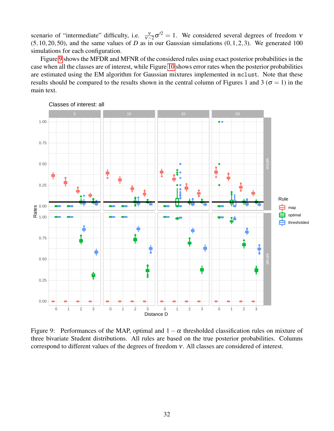scenario of "intermediate" difficulty, i.e.  $\frac{v}{v-2}\sigma^2 = 1$ . We considered several degrees of freedom v  $(5,10,20,50)$ , and the same values of *D* as in our Gaussian simulations  $(0,1,2,3)$ . We generated 100 simulations for each configuration.

Figure [9](#page-31-0) shows the MFDR and MFNR of the considered rules using exact posterior probabilities in the case when all the classes are of interest, while Figure [10](#page-32-0) shows error rates when the posterior probabilities are estimated using the EM algorithm for Gaussian mixtures implemented in mclust. Note that these results should be compared to the results shown in the central column of Figures 1 and 3 ( $\sigma = 1$ ) in the main text.



<span id="page-31-0"></span>Figure 9: Performances of the MAP, optimal and  $1 - \alpha$  thresholded classification rules on mixture of three bivariate Student distributions. All rules are based on the true posterior probabilities. Columns correspond to different values of the degrees of freedom ν. All classes are considered of interest.